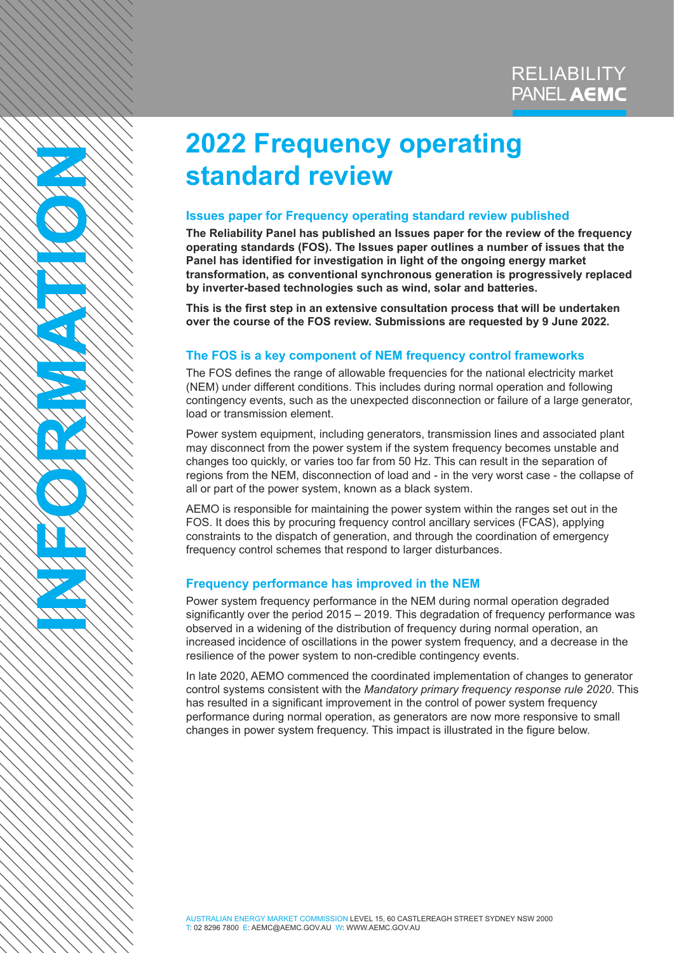# **2022 Frequency operating standard review**

# **Issues paper for Frequency operating standard review published**

**The Reliability Panel has published an Issues paper for the review of the frequency operating standards (FOS). The Issues paper outlines a number of issues that the Panel has identified for investigation in light of the ongoing energy market transformation, as conventional synchronous generation is progressively replaced by inverter-based technologies such as wind, solar and batteries.** 

**This is the first step in an extensive consultation process that will be undertaken over the course of the FOS review. Submissions are requested by 9 June 2022.** 

# **The FOS is a key component of NEM frequency control frameworks**

The FOS defines the range of allowable frequencies for the national electricity market (NEM) under different conditions. This includes during normal operation and following contingency events, such as the unexpected disconnection or failure of a large generator, load or transmission element.

Power system equipment, including generators, transmission lines and associated plant may disconnect from the power system if the system frequency becomes unstable and changes too quickly, or varies too far from 50 Hz. This can result in the separation of regions from the NEM, disconnection of load and - in the very worst case - the collapse of all or part of the power system, known as a black system.

AEMO is responsible for maintaining the power system within the ranges set out in the FOS. It does this by procuring frequency control ancillary services (FCAS), applying constraints to the dispatch of generation, and through the coordination of emergency frequency control schemes that respond to larger disturbances.

# **Frequency performance has improved in the NEM**

**INFORMATION**

Power system frequency performance in the NEM during normal operation degraded significantly over the period 2015 – 2019. This degradation of frequency performance was observed in a widening of the distribution of frequency during normal operation, an increased incidence of oscillations in the power system frequency, and a decrease in the resilience of the power system to non-credible contingency events.

In late 2020, AEMO commenced the coordinated implementation of changes to generator control systems consistent with the *Mandatory primary frequency response rule 2020*. This has resulted in a significant improvement in the control of power system frequency performance during normal operation, as generators are now more responsive to small changes in power system frequency. This impact is illustrated in the figure below.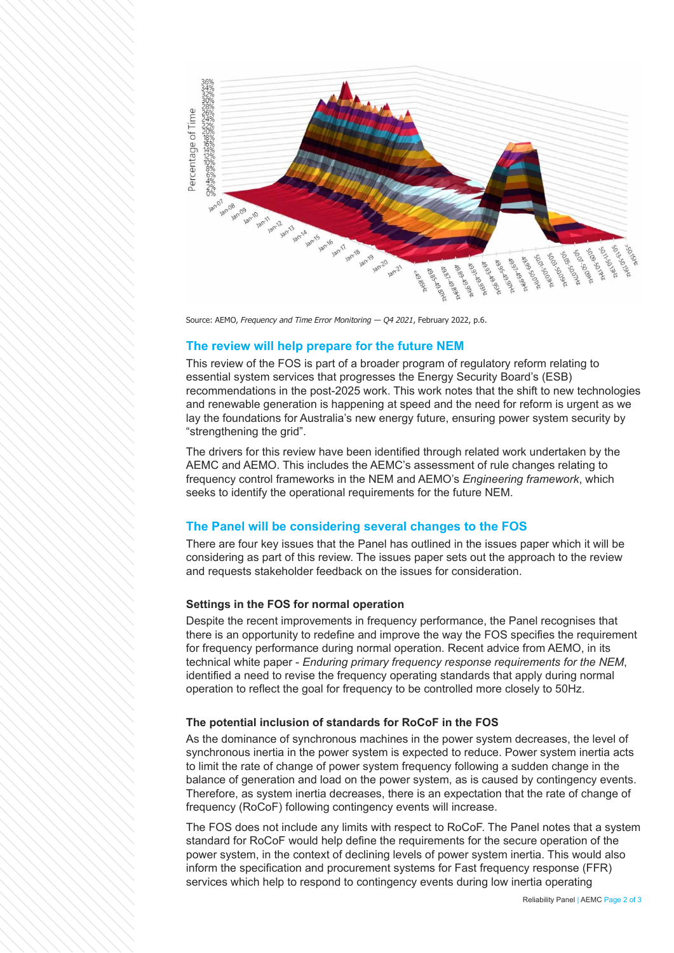

Source: AEMO, *Frequency and Time Error Monitoring — Q4 2021*, February 2022, p.6.

## **The review will help prepare for the future NEM**

This review of the FOS is part of a broader program of regulatory reform relating to essential system services that progresses the Energy Security Board's (ESB) recommendations in the post-2025 work. This work notes that the shift to new technologies and renewable generation is happening at speed and the need for reform is urgent as we lay the foundations for Australia's new energy future, ensuring power system security by "strengthening the grid".

The drivers for this review have been identified through related work undertaken by the AEMC and AEMO. This includes the AEMC's assessment of rule changes relating to frequency control frameworks in the NEM and AEMO's *Engineering framework*, which seeks to identify the operational requirements for the future NEM.

## **The Panel will be considering several changes to the FOS**

There are four key issues that the Panel has outlined in the issues paper which it will be considering as part of this review. The issues paper sets out the approach to the review and requests stakeholder feedback on the issues for consideration.

#### **Settings in the FOS for normal operation**

Despite the recent improvements in frequency performance, the Panel recognises that there is an opportunity to redefine and improve the way the FOS specifies the requirement for frequency performance during normal operation. Recent advice from AEMO, in its technical white paper - *Enduring primary frequency response requirements for the NEM*, identified a need to revise the frequency operating standards that apply during normal operation to reflect the goal for frequency to be controlled more closely to 50Hz.

#### **The potential inclusion of standards for RoCoF in the FOS**

As the dominance of synchronous machines in the power system decreases, the level of synchronous inertia in the power system is expected to reduce. Power system inertia acts to limit the rate of change of power system frequency following a sudden change in the balance of generation and load on the power system, as is caused by contingency events. Therefore, as system inertia decreases, there is an expectation that the rate of change of frequency (RoCoF) following contingency events will increase.

The FOS does not include any limits with respect to RoCoF. The Panel notes that a system standard for RoCoF would help define the requirements for the secure operation of the power system, in the context of declining levels of power system inertia. This would also inform the specification and procurement systems for Fast frequency response (FFR) services which help to respond to contingency events during low inertia operating